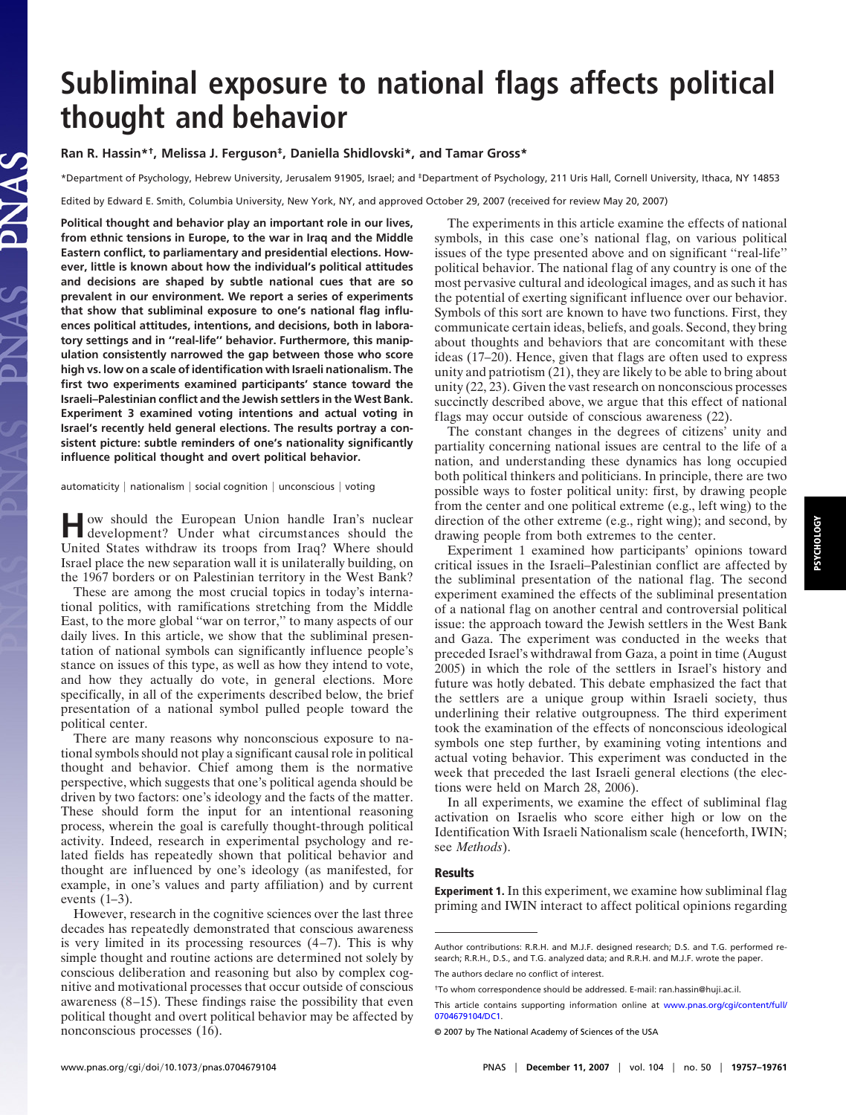# **Subliminal exposure to national flags affects political thought and behavior**

## **Ran R. Hassin\*†, Melissa J. Ferguson‡, Daniella Shidlovski\*, and Tamar Gross\***

\*Department of Psychology, Hebrew University, Jerusalem 91905, Israel; and ‡Department of Psychology, 211 Uris Hall, Cornell University, Ithaca, NY 14853

Edited by Edward E. Smith, Columbia University, New York, NY, and approved October 29, 2007 (received for review May 20, 2007)

**Political thought and behavior play an important role in our lives, from ethnic tensions in Europe, to the war in Iraq and the Middle Eastern conflict, to parliamentary and presidential elections. However, little is known about how the individual's political attitudes and decisions are shaped by subtle national cues that are so prevalent in our environment. We report a series of experiments that show that subliminal exposure to one's national flag influences political attitudes, intentions, and decisions, both in laboratory settings and in ''real-life'' behavior. Furthermore, this manipulation consistently narrowed the gap between those who score high vs. low on a scale of identification with Israeli nationalism. The first two experiments examined participants' stance toward the Israeli–Palestinian conflict and the Jewish settlers in the West Bank. Experiment 3 examined voting intentions and actual voting in Israel's recently held general elections. The results portray a consistent picture: subtle reminders of one's nationality significantly influence political thought and overt political behavior.**

automaticity  $|$  nationalism  $|$  social cognition  $|$  unconscious  $|$  voting

How should the European Union handle Iran's nuclear<br>development? Under what circumstances should the United States withdraw its troops from Iraq? Where should Israel place the new separation wall it is unilaterally building, on the 1967 borders or on Palestinian territory in the West Bank?

These are among the most crucial topics in today's international politics, with ramifications stretching from the Middle East, to the more global ''war on terror,'' to many aspects of our daily lives. In this article, we show that the subliminal presentation of national symbols can significantly influence people's stance on issues of this type, as well as how they intend to vote, and how they actually do vote, in general elections. More specifically, in all of the experiments described below, the brief presentation of a national symbol pulled people toward the political center.

There are many reasons why nonconscious exposure to national symbols should not play a significant causal role in political thought and behavior. Chief among them is the normative perspective, which suggests that one's political agenda should be driven by two factors: one's ideology and the facts of the matter. These should form the input for an intentional reasoning process, wherein the goal is carefully thought-through political activity. Indeed, research in experimental psychology and related fields has repeatedly shown that political behavior and thought are influenced by one's ideology (as manifested, for example, in one's values and party affiliation) and by current events (1*–*3).

However, research in the cognitive sciences over the last three decades has repeatedly demonstrated that conscious awareness is very limited in its processing resources  $(4-7)$ . This is why simple thought and routine actions are determined not solely by conscious deliberation and reasoning but also by complex cognitive and motivational processes that occur outside of conscious awareness (8–15). These findings raise the possibility that even political thought and overt political behavior may be affected by nonconscious processes (16).

The experiments in this article examine the effects of national symbols, in this case one's national flag, on various political issues of the type presented above and on significant ''real-life'' political behavior. The national flag of any country is one of the most pervasive cultural and ideological images, and as such it has the potential of exerting significant influence over our behavior. Symbols of this sort are known to have two functions. First, they communicate certain ideas, beliefs, and goals. Second, they bring about thoughts and behaviors that are concomitant with these ideas (17–20). Hence, given that flags are often used to express unity and patriotism (21), they are likely to be able to bring about unity (22, 23). Given the vast research on nonconscious processes succinctly described above, we argue that this effect of national flags may occur outside of conscious awareness (22).

The constant changes in the degrees of citizens' unity and partiality concerning national issues are central to the life of a nation, and understanding these dynamics has long occupied both political thinkers and politicians. In principle, there are two possible ways to foster political unity: first, by drawing people from the center and one political extreme (e.g., left wing) to the direction of the other extreme (e.g., right wing); and second, by drawing people from both extremes to the center.

Experiment 1 examined how participants' opinions toward critical issues in the Israeli–Palestinian conflict are affected by the subliminal presentation of the national flag. The second experiment examined the effects of the subliminal presentation of a national flag on another central and controversial political issue: the approach toward the Jewish settlers in the West Bank and Gaza. The experiment was conducted in the weeks that preceded Israel's withdrawal from Gaza, a point in time (August 2005) in which the role of the settlers in Israel's history and future was hotly debated. This debate emphasized the fact that the settlers are a unique group within Israeli society, thus underlining their relative outgroupness. The third experiment took the examination of the effects of nonconscious ideological symbols one step further, by examining voting intentions and actual voting behavior. This experiment was conducted in the week that preceded the last Israeli general elections (the elections were held on March 28, 2006).

In all experiments, we examine the effect of subliminal flag activation on Israelis who score either high or low on the Identification With Israeli Nationalism scale (henceforth, IWIN; see *Methods*).

### **Results**

**Experiment 1.** In this experiment, we examine how subliminal flag priming and IWIN interact to affect political opinions regarding

Author contributions: R.R.H. and M.J.F. designed research; D.S. and T.G. performed research; R.R.H., D.S., and T.G. analyzed data; and R.R.H. and M.J.F. wrote the paper.

The authors declare no conflict of interest.

<sup>†</sup>To whom correspondence should be addressed. E-mail: ran.hassin@huji.ac.il.

This article contains supporting information online at [www.pnas.org/cgi/content/full/](http://www.pnas.org/cgi/content/full/0704679104/DC1) [0704679104/DC1.](http://www.pnas.org/cgi/content/full/0704679104/DC1)

<sup>© 2007</sup> by The National Academy of Sciences of the USA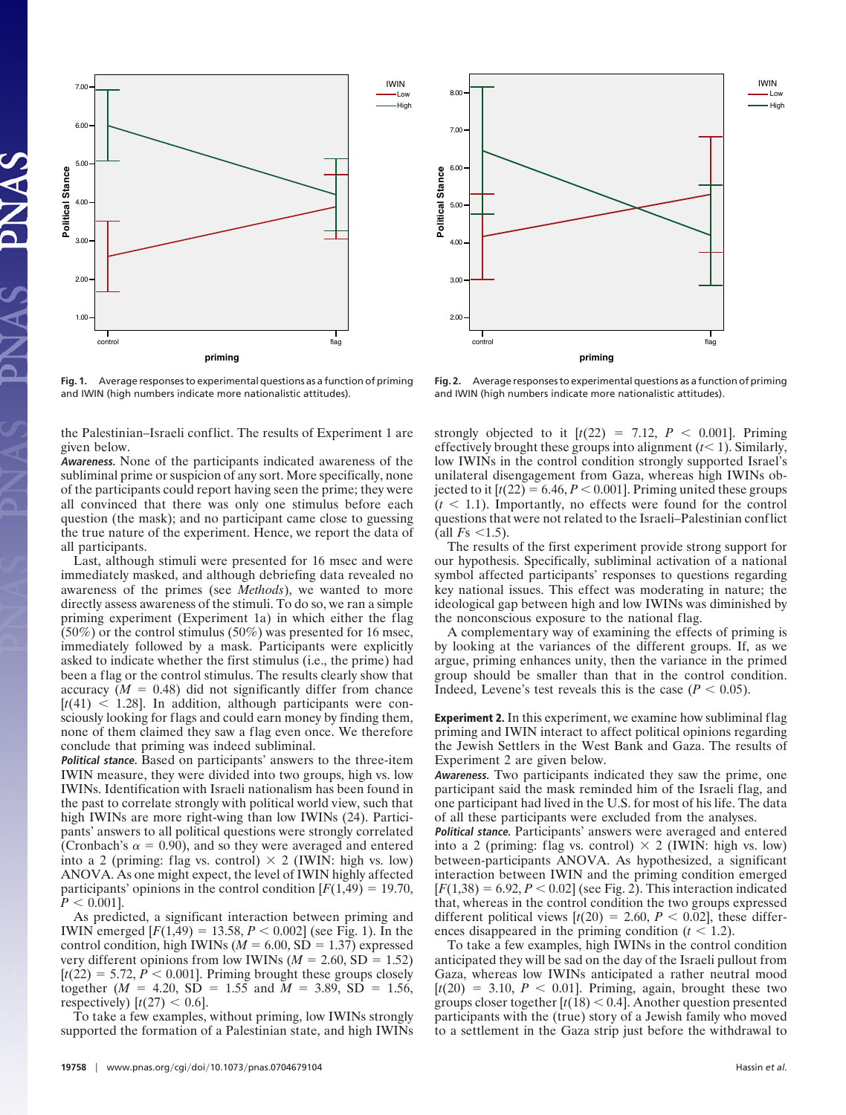

High Low

**Fig. 1.** Average responses to experimental questions as a function of priming and IWIN (high numbers indicate more nationalistic attitudes).

the Palestinian–Israeli conflict. The results of Experiment 1 are given below.

**Awareness.** None of the participants indicated awareness of the subliminal prime or suspicion of any sort. More specifically, none of the participants could report having seen the prime; they were all convinced that there was only one stimulus before each question (the mask); and no participant came close to guessing the true nature of the experiment. Hence, we report the data of all participants.

Last, although stimuli were presented for 16 msec and were immediately masked, and although debriefing data revealed no awareness of the primes (see *Methods*), we wanted to more directly assess awareness of the stimuli. To do so, we ran a simple priming experiment (Experiment 1a) in which either the flag (50%) or the control stimulus (50%) was presented for 16 msec, immediately followed by a mask. Participants were explicitly asked to indicate whether the first stimulus (i.e., the prime) had been a flag or the control stimulus. The results clearly show that accuracy  $(M = 0.48)$  did not significantly differ from chance  $[t(41)$  < 1.28]. In addition, although participants were consciously looking for flags and could earn money by finding them, none of them claimed they saw a flag even once. We therefore conclude that priming was indeed subliminal.

**Political stance.** Based on participants' answers to the three-item IWIN measure, they were divided into two groups, high vs. low IWINs. Identification with Israeli nationalism has been found in the past to correlate strongly with political world view, such that high IWINs are more right-wing than low IWINs (24). Participants' answers to all political questions were strongly correlated (Cronbach's  $\alpha = 0.90$ ), and so they were averaged and entered into a 2 (priming: flag vs. control)  $\times$  2 (IWIN: high vs. low) ANOVA. As one might expect, the level of IWIN highly affected participants' opinions in the control condition  $[F(1,49) = 19.70,$  $P < 0.001$ .

As predicted, a significant interaction between priming and **IWIN** emerged  $[F(1,49) = 13.58, P < 0.002]$  (see Fig. 1). In the control condition, high IWINs ( $M = 6.00$ , SD = 1.37) expressed very different opinions from low IWINs ( $M = 2.60$ , SD = 1.52)  $[t(22) = 5.72, P < 0.001]$ . Priming brought these groups closely together  $(M = 4.20, SD = 1.55, and M = 3.89, SD = 1.56,$ respectively)  $[t(27) < 0.6]$ .

To take a few examples, without priming, low IWINs strongly supported the formation of a Palestinian state, and high IWINs



**Fig. 2.** Average responses to experimental questions as a function of priming and IWIN (high numbers indicate more nationalistic attitudes).

strongly objected to it  $[t(22) = 7.12, P < 0.001]$ . Priming effectively brought these groups into alignment  $(t<1)$ . Similarly, low IWINs in the control condition strongly supported Israel's unilateral disengagement from Gaza, whereas high IWINs objected to it  $[t(22) = 6.46, P < 0.001]$ . Priming united these groups  $(t < 1.1)$ . Importantly, no effects were found for the control questions that were not related to the Israeli–Palestinian conflict  $\text{(all }$  *Fs* <1.5).

The results of the first experiment provide strong support for our hypothesis. Specifically, subliminal activation of a national symbol affected participants' responses to questions regarding key national issues. This effect was moderating in nature; the ideological gap between high and low IWINs was diminished by the nonconscious exposure to the national flag.

A complementary way of examining the effects of priming is by looking at the variances of the different groups. If, as we argue, priming enhances unity, then the variance in the primed group should be smaller than that in the control condition. Indeed, Levene's test reveals this is the case  $(P < 0.05)$ .

**Experiment 2.** In this experiment, we examine how subliminal flag priming and IWIN interact to affect political opinions regarding the Jewish Settlers in the West Bank and Gaza. The results of Experiment 2 are given below.

**Awareness.** Two participants indicated they saw the prime, one participant said the mask reminded him of the Israeli flag, and one participant had lived in the U.S. for most of his life. The data of all these participants were excluded from the analyses.

**Political stance.** Participants' answers were averaged and entered into a 2 (priming: flag vs. control)  $\times$  2 (IWIN: high vs. low) between-participants ANOVA. As hypothesized, a significant interaction between IWIN and the priming condition emerged  $[F(1,38) = 6.92, P < 0.02]$  (see Fig. 2). This interaction indicated that, whereas in the control condition the two groups expressed different political views  $[t(20) = 2.60, P < 0.02]$ , these differences disappeared in the priming condition  $(t < 1.2)$ .

To take a few examples, high IWINs in the control condition anticipated they will be sad on the day of the Israeli pullout from Gaza, whereas low IWINs anticipated a rather neutral mood  $[t(20) = 3.10, P < 0.01]$ . Priming, again, brought these two groups closer together  $[t(18) < 0.4]$ . Another question presented participants with the (true) story of a Jewish family who moved to a settlement in the Gaza strip just before the withdrawal to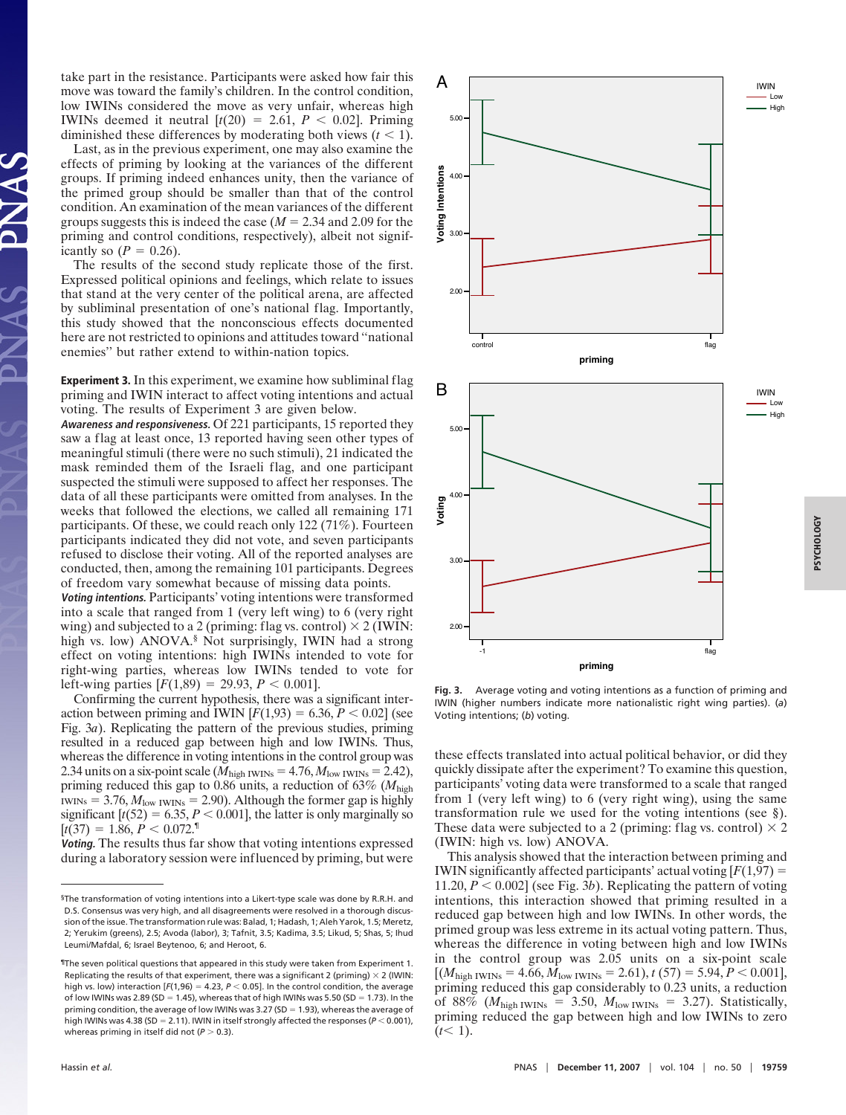take part in the resistance. Participants were asked how fair this move was toward the family's children. In the control condition, low IWINs considered the move as very unfair, whereas high IWINs deemed it neutral  $[t(20) = 2.61, P < 0.02]$ . Priming diminished these differences by moderating both views  $(t < 1)$ .

Last, as in the previous experiment, one may also examine the effects of priming by looking at the variances of the different groups. If priming indeed enhances unity, then the variance of the primed group should be smaller than that of the control condition. An examination of the mean variances of the different groups suggests this is indeed the case  $(M = 2.34$  and 2.09 for the priming and control conditions, respectively), albeit not significantly so  $(P = 0.26)$ .

The results of the second study replicate those of the first. Expressed political opinions and feelings, which relate to issues that stand at the very center of the political arena, are affected by subliminal presentation of one's national flag. Importantly, this study showed that the nonconscious effects documented here are not restricted to opinions and attitudes toward ''national enemies'' but rather extend to within-nation topics.

**Experiment 3.** In this experiment, we examine how subliminal flag priming and IWIN interact to affect voting intentions and actual voting. The results of Experiment 3 are given below.

**Awareness and responsiveness.** Of 221 participants, 15 reported they saw a flag at least once, 13 reported having seen other types of meaningful stimuli (there were no such stimuli), 21 indicated the mask reminded them of the Israeli flag, and one participant suspected the stimuli were supposed to affect her responses. The data of all these participants were omitted from analyses. In the weeks that followed the elections, we called all remaining 171 participants. Of these, we could reach only 122 (71%). Fourteen participants indicated they did not vote, and seven participants refused to disclose their voting. All of the reported analyses are conducted, then, among the remaining 101 participants. Degrees of freedom vary somewhat because of missing data points.

**Voting intentions.** Participants' voting intentions were transformed into a scale that ranged from 1 (very left wing) to 6 (very right wing) and subjected to a 2 (priming: flag vs. control)  $\times$  2 (IWIN: high vs. low) ANOVA.<sup>§</sup> Not surprisingly, IWIN had a strong effect on voting intentions: high IWINs intended to vote for right-wing parties, whereas low IWINs tended to vote for left-wing parties  $[F(1,89) = 29.93, P < 0.001]$ .

Confirming the current hypothesis, there was a significant interaction between priming and IWIN  $[F(1,93) = 6.36, P < 0.02]$  (see Fig. 3*a*). Replicating the pattern of the previous studies, priming resulted in a reduced gap between high and low IWINs. Thus, whereas the difference in voting intentions in the control group was 2.34 units on a six-point scale  $(M_{\text{high TWINs}} = 4.76, M_{\text{low TWINs}} = 2.42)$ , priming reduced this gap to 0.86 units, a reduction of 63% (*M*high  $IWINs = 3.76, M<sub>low IWINs</sub> = 2.90$ . Although the former gap is highly significant  $[t(52) = 6.35, P < 0.001]$ , the latter is only marginally so  $[t(37) = 1.86, P < 0.072$ .

**Voting.** The results thus far show that voting intentions expressed during a laboratory session were influenced by priming, but were



**Fig. 3.** Average voting and voting intentions as a function of priming and IWIN (higher numbers indicate more nationalistic right wing parties). (*a*) Voting intentions; (*b*) voting.

these effects translated into actual political behavior, or did they quickly dissipate after the experiment? To examine this question, participants' voting data were transformed to a scale that ranged from 1 (very left wing) to 6 (very right wing), using the same transformation rule we used for the voting intentions (see §). These data were subjected to a 2 (priming: flag vs. control)  $\times$  2 (IWIN: high vs. low) ANOVA.

This analysis showed that the interaction between priming and **IWIN** significantly affected participants' actual voting  $[F(1,97) =$ 11.20,  $P < 0.002$  (see Fig. 3*b*). Replicating the pattern of voting intentions, this interaction showed that priming resulted in a reduced gap between high and low IWINs. In other words, the primed group was less extreme in its actual voting pattern. Thus, whereas the difference in voting between high and low IWINs in the control group was 2.05 units on a six-point scale  $[(M_{\text{high TWINs}} = 4.66, M_{\text{low TWINs}} = 2.61), t (57) = 5.94, P < 0.001],$ priming reduced this gap considerably to 0.23 units, a reduction of 88% ( $M_{\text{high TWINs}} = 3.50$ ,  $M_{\text{low TWINs}} = 3.27$ ). Statistically, priming reduced the gap between high and low IWINs to zero  $(t< 1)$ .

<sup>§</sup>The transformation of voting intentions into a Likert-type scale was done by R.R.H. and D.S. Consensus was very high, and all disagreements were resolved in a thorough discussion of the issue. The transformation rule was: Balad, 1; Hadash, 1; Aleh Yarok, 1.5; Meretz, 2; Yerukim (greens), 2.5; Avoda (labor), 3; Tafnit, 3.5; Kadima, 3.5; Likud, 5; Shas, 5; Ihud Leumi/Mafdal, 6; Israel Beytenoo, 6; and Heroot, 6.

<sup>¶</sup>The seven political questions that appeared in this study were taken from Experiment 1. Replicating the results of that experiment, there was a significant 2 (priming)  $\times$  2 (IWIN: high vs. low) interaction  $[F(1,96) = 4.23, P < 0.05]$ . In the control condition, the average of low IWINs was 2.89 (SD = 1.45), whereas that of high IWINs was 5.50 (SD = 1.73). In the priming condition, the average of low IWINs was 3.27 (SD = 1.93), whereas the average of high IWINs was 4.38 (SD = 2.11). IWIN in itself strongly affected the responses ( $P < 0.001$ ), whereas priming in itself did not  $(P > 0.3)$ .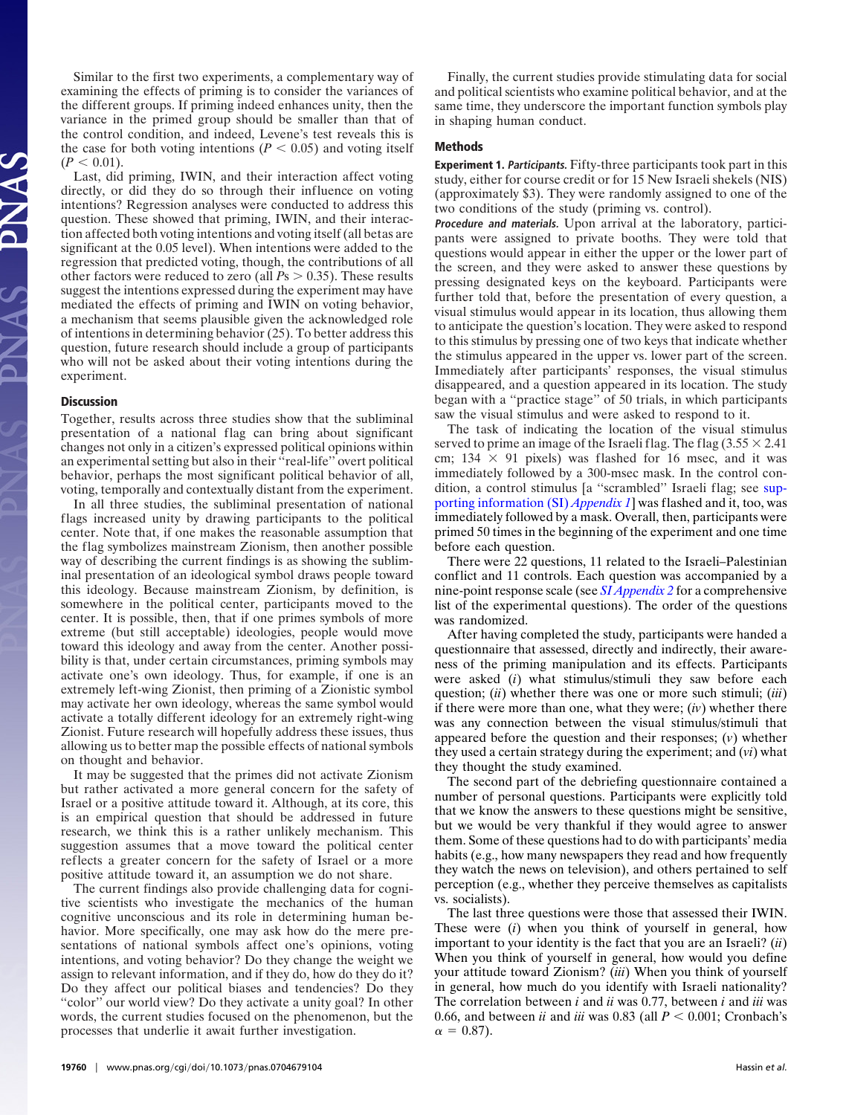Similar to the first two experiments, a complementary way of examining the effects of priming is to consider the variances of the different groups. If priming indeed enhances unity, then the variance in the primed group should be smaller than that of the control condition, and indeed, Levene's test reveals this is the case for both voting intentions  $(P < 0.05)$  and voting itself  $(P < 0.01)$ .

Last, did priming, IWIN, and their interaction affect voting directly, or did they do so through their influence on voting intentions? Regression analyses were conducted to address this question. These showed that priming, IWIN, and their interaction affected both voting intentions and voting itself (all betas are significant at the 0.05 level). When intentions were added to the regression that predicted voting, though, the contributions of all other factors were reduced to zero (all  $Ps > 0.35$ ). These results suggest the intentions expressed during the experiment may have mediated the effects of priming and IWIN on voting behavior, a mechanism that seems plausible given the acknowledged role of intentions in determining behavior (25). To better address this question, future research should include a group of participants who will not be asked about their voting intentions during the experiment.

#### **Discussion**

Together, results across three studies show that the subliminal presentation of a national flag can bring about significant changes not only in a citizen's expressed political opinions within an experimental setting but also in their ''real-life'' overt political behavior, perhaps the most significant political behavior of all, voting, temporally and contextually distant from the experiment.

In all three studies, the subliminal presentation of national flags increased unity by drawing participants to the political center. Note that, if one makes the reasonable assumption that the flag symbolizes mainstream Zionism, then another possible way of describing the current findings is as showing the subliminal presentation of an ideological symbol draws people toward this ideology. Because mainstream Zionism, by definition, is somewhere in the political center, participants moved to the center. It is possible, then, that if one primes symbols of more extreme (but still acceptable) ideologies, people would move toward this ideology and away from the center. Another possibility is that, under certain circumstances, priming symbols may activate one's own ideology. Thus, for example, if one is an extremely left-wing Zionist, then priming of a Zionistic symbol may activate her own ideology, whereas the same symbol would activate a totally different ideology for an extremely right-wing Zionist. Future research will hopefully address these issues, thus allowing us to better map the possible effects of national symbols on thought and behavior.

It may be suggested that the primes did not activate Zionism but rather activated a more general concern for the safety of Israel or a positive attitude toward it. Although, at its core, this is an empirical question that should be addressed in future research, we think this is a rather unlikely mechanism. This suggestion assumes that a move toward the political center reflects a greater concern for the safety of Israel or a more positive attitude toward it, an assumption we do not share.

The current findings also provide challenging data for cognitive scientists who investigate the mechanics of the human cognitive unconscious and its role in determining human behavior. More specifically, one may ask how do the mere presentations of national symbols affect one's opinions, voting intentions, and voting behavior? Do they change the weight we assign to relevant information, and if they do, how do they do it? Do they affect our political biases and tendencies? Do they ''color'' our world view? Do they activate a unity goal? In other words, the current studies focused on the phenomenon, but the processes that underlie it await further investigation.

Finally, the current studies provide stimulating data for social and political scientists who examine political behavior, and at the same time, they underscore the important function symbols play in shaping human conduct.

### **Methods**

**Experiment 1. Participants.** Fifty-three participants took part in this study, either for course credit or for 15 New Israeli shekels (NIS) (approximately \$3). They were randomly assigned to one of the two conditions of the study (priming vs. control).

**Procedure and materials.** Upon arrival at the laboratory, participants were assigned to private booths. They were told that questions would appear in either the upper or the lower part of the screen, and they were asked to answer these questions by pressing designated keys on the keyboard. Participants were further told that, before the presentation of every question, a visual stimulus would appear in its location, thus allowing them to anticipate the question's location. They were asked to respond to this stimulus by pressing one of two keys that indicate whether the stimulus appeared in the upper vs. lower part of the screen. Immediately after participants' responses, the visual stimulus disappeared, and a question appeared in its location. The study began with a ''practice stage'' of 50 trials, in which participants saw the visual stimulus and were asked to respond to it.

The task of indicating the location of the visual stimulus served to prime an image of the Israeli flag. The flag  $(3.55 \times 2.41)$ cm;  $134 \times 91$  pixels) was flashed for 16 msec, and it was immediately followed by a 300-msec mask. In the control condition, a control stimulus [a ''scrambled'' Israeli flag; see [sup](http://www.pnas.org/cgi/content/full/0704679104/DC1)[porting information \(SI\)](http://www.pnas.org/cgi/content/full/0704679104/DC1) *Appendix 1*] was flashed and it, too, was immediately followed by a mask. Overall, then, participants were primed 50 times in the beginning of the experiment and one time before each question.

There were 22 questions, 11 related to the Israeli–Palestinian conflict and 11 controls. Each question was accompanied by a nine-point response scale (see *[SI Appendix 2](http://www.pnas.org/cgi/content/full/0704679104/DC1)* for a comprehensive list of the experimental questions). The order of the questions was randomized.

After having completed the study, participants were handed a questionnaire that assessed, directly and indirectly, their awareness of the priming manipulation and its effects. Participants were asked (*i*) what stimulus/stimuli they saw before each question; (*ii*) whether there was one or more such stimuli; (*iii*) if there were more than one, what they were; (*iv*) whether there was any connection between the visual stimulus/stimuli that appeared before the question and their responses; (*v*) whether they used a certain strategy during the experiment; and (*vi*) what they thought the study examined.

The second part of the debriefing questionnaire contained a number of personal questions. Participants were explicitly told that we know the answers to these questions might be sensitive, but we would be very thankful if they would agree to answer them. Some of these questions had to do with participants' media habits (e.g., how many newspapers they read and how frequently they watch the news on television), and others pertained to self perception (e.g., whether they perceive themselves as capitalists vs. socialists).

The last three questions were those that assessed their IWIN. These were (*i*) when you think of yourself in general, how important to your identity is the fact that you are an Israeli? (*ii*) When you think of yourself in general, how would you define your attitude toward Zionism? (*iii*) When you think of yourself in general, how much do you identify with Israeli nationality? The correlation between *i* and *ii* was 0.77, between *i* and *iii* was 0.66, and between *ii* and *iii* was 0.83 (all  $P < 0.001$ ; Cronbach's  $\alpha = 0.87$ ).